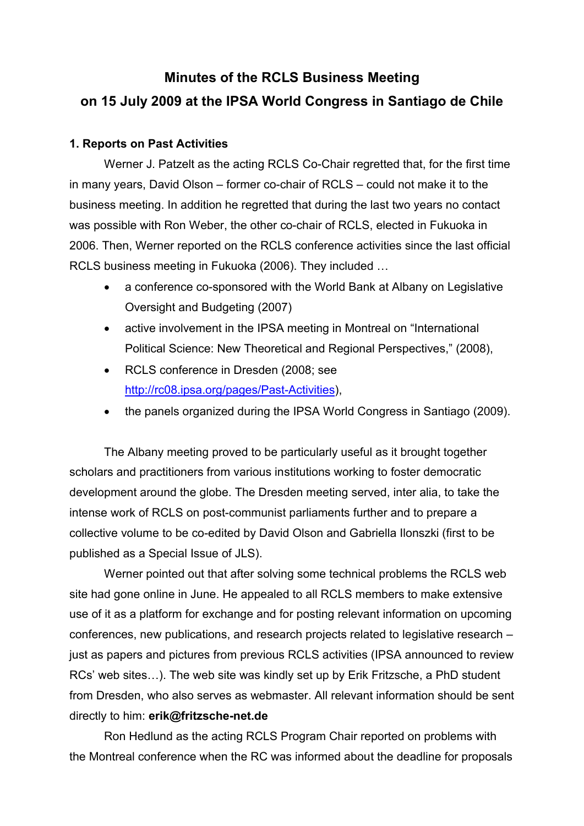# **Minutes of the RCLS Business Meeting on 15 July 2009 at the IPSA World Congress in Santiago de Chile**

#### **1. Reports on Past Activities**

Werner J. Patzelt as the acting RCLS Co-Chair regretted that, for the first time in many years, David Olson – former co-chair of RCLS – could not make it to the business meeting. In addition he regretted that during the last two years no contact was possible with Ron Weber, the other co-chair of RCLS, elected in Fukuoka in 2006. Then, Werner reported on the RCLS conference activities since the last official RCLS business meeting in Fukuoka (2006). They included …

- a conference co-sponsored with the World Bank at Albany on Legislative Oversight and Budgeting (2007)
- active involvement in the IPSA meeting in Montreal on "International Political Science: New Theoretical and Regional Perspectives," (2008),
- RCLS conference in Dresden (2008; see http://rc08.ipsa.org/pages/Past-Activities),
- the panels organized during the IPSA World Congress in Santiago (2009).

The Albany meeting proved to be particularly useful as it brought together scholars and practitioners from various institutions working to foster democratic development around the globe. The Dresden meeting served, inter alia, to take the intense work of RCLS on post-communist parliaments further and to prepare a collective volume to be co-edited by David Olson and Gabriella Ilonszki (first to be published as a Special Issue of JLS).

Werner pointed out that after solving some technical problems the RCLS web site had gone online in June. He appealed to all RCLS members to make extensive use of it as a platform for exchange and for posting relevant information on upcoming conferences, new publications, and research projects related to legislative research – just as papers and pictures from previous RCLS activities (IPSA announced to review RCs' web sites…). The web site was kindly set up by Erik Fritzsche, a PhD student from Dresden, who also serves as webmaster. All relevant information should be sent directly to him: **erik@fritzsche-net.de**

Ron Hedlund as the acting RCLS Program Chair reported on problems with the Montreal conference when the RC was informed about the deadline for proposals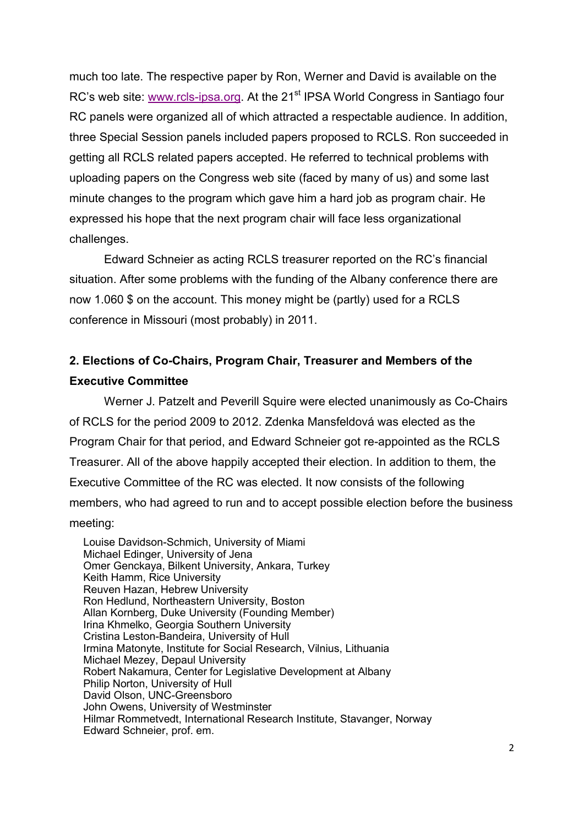much too late. The respective paper by Ron, Werner and David is available on the RC's web site: www.rcls-ipsa.org. At the 21<sup>st</sup> IPSA World Congress in Santiago four RC panels were organized all of which attracted a respectable audience. In addition, three Special Session panels included papers proposed to RCLS. Ron succeeded in getting all RCLS related papers accepted. He referred to technical problems with uploading papers on the Congress web site (faced by many of us) and some last minute changes to the program which gave him a hard job as program chair. He expressed his hope that the next program chair will face less organizational challenges.

Edward Schneier as acting RCLS treasurer reported on the RC's financial situation. After some problems with the funding of the Albany conference there are now 1.060 \$ on the account. This money might be (partly) used for a RCLS conference in Missouri (most probably) in 2011.

# **2. Elections of Co-Chairs, Program Chair, Treasurer and Members of the Executive Committee**

Werner J. Patzelt and Peverill Squire were elected unanimously as Co-Chairs of RCLS for the period 2009 to 2012. Zdenka Mansfeldová was elected as the Program Chair for that period, and Edward Schneier got re-appointed as the RCLS Treasurer. All of the above happily accepted their election. In addition to them, the Executive Committee of the RC was elected. It now consists of the following members, who had agreed to run and to accept possible election before the business meeting:

Louise Davidson-Schmich, University of Miami Michael Edinger, University of Jena Omer Genckaya, Bilkent University, Ankara, Turkey Keith Hamm, Rice University Reuven Hazan, Hebrew University Ron Hedlund, Northeastern University, Boston Allan Kornberg, Duke University (Founding Member) Irina Khmelko, Georgia Southern University Cristina Leston-Bandeira, University of Hull Irmina Matonyte, Institute for Social Research, Vilnius, Lithuania Michael Mezey, Depaul University Robert Nakamura, Center for Legislative Development at Albany Philip Norton, University of Hull David Olson, UNC-Greensboro John Owens, University of Westminster Hilmar Rommetvedt, International Research Institute, Stavanger, Norway Edward Schneier, prof. em.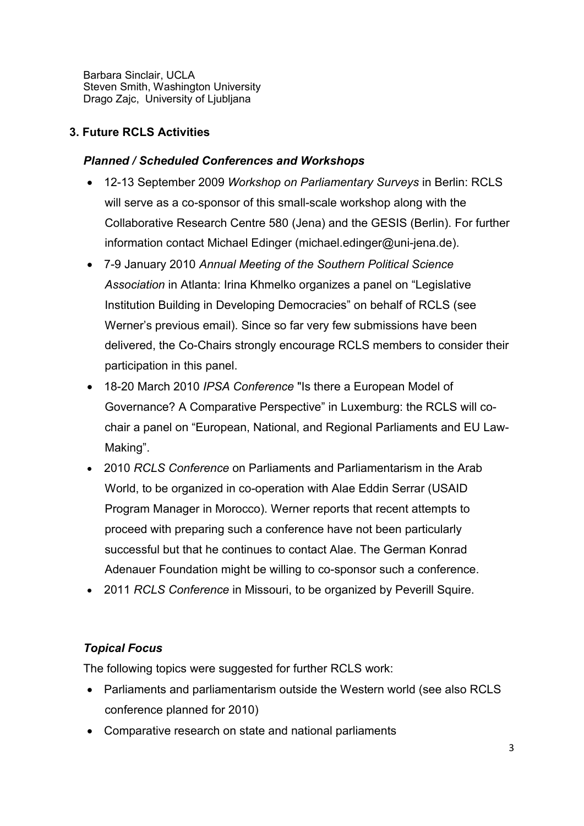Barbara Sinclair, UCLA Steven Smith, Washington University Drago Zajc, University of Ljubljana

#### **3. Future RCLS Activities**

#### *Planned / Scheduled Conferences and Workshops*

- 12-13 September 2009 *Workshop on Parliamentary Surveys* in Berlin: RCLS will serve as a co-sponsor of this small-scale workshop along with the Collaborative Research Centre 580 (Jena) and the GESIS (Berlin). For further information contact Michael Edinger (michael.edinger@uni-jena.de).
- 7-9 January 2010 *Annual Meeting of the Southern Political Science Association* in Atlanta: Irina Khmelko organizes a panel on "Legislative Institution Building in Developing Democracies" on behalf of RCLS (see Werner's previous email). Since so far very few submissions have been delivered, the Co-Chairs strongly encourage RCLS members to consider their participation in this panel.
- 18-20 March 2010 *IPSA Conference* "Is there a European Model of Governance? A Comparative Perspective" in Luxemburg: the RCLS will cochair a panel on "European, National, and Regional Parliaments and EU Law-Making".
- 2010 *RCLS Conference* on Parliaments and Parliamentarism in the Arab World, to be organized in co-operation with Alae Eddin Serrar (USAID Program Manager in Morocco). Werner reports that recent attempts to proceed with preparing such a conference have not been particularly successful but that he continues to contact Alae. The German Konrad Adenauer Foundation might be willing to co-sponsor such a conference.
- 2011 *RCLS Conference* in Missouri, to be organized by Peverill Squire.

## *Topical Focus*

The following topics were suggested for further RCLS work:

- Parliaments and parliamentarism outside the Western world (see also RCLS conference planned for 2010)
- Comparative research on state and national parliaments